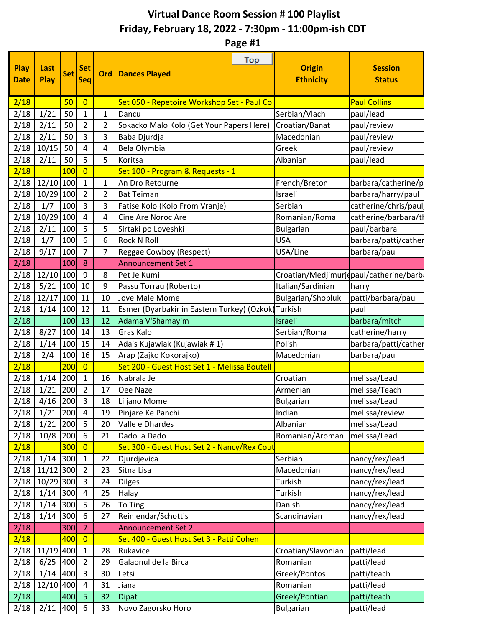## **Virtual Dance Room Session # 100 Playlist Friday, February 18, 2022 - 7:30pm - 11:00pm-ish CDT**

**Page #1**

| <b>Play</b><br><b>Date</b> | Last<br>Play | <b>Set</b> | <b>Set</b><br><b>Seq</b> | Ord | Top<br><b>Dances Played</b>                  | <b>Origin</b><br><b>Ethnicity</b> | <b>Session</b><br><b>Status</b>        |
|----------------------------|--------------|------------|--------------------------|-----|----------------------------------------------|-----------------------------------|----------------------------------------|
| 2/18                       |              | 50         | $\overline{0}$           |     | Set 050 - Repetoire Workshop Set - Paul Col  |                                   | <b>Paul Collins</b>                    |
| 2/18                       | 1/21         | 50         | $\mathbf{1}$             | 1   | Dancu                                        | Serbian/Vlach                     | paul/lead                              |
| 2/18                       | 2/11         | 50         | $\overline{2}$           | 2   | Sokacko Malo Kolo (Get Your Papers Here)     | Croatian/Banat                    | paul/review                            |
| 2/18                       | 2/11         | 50         | 3                        | 3   | Baba Djurdja                                 | Macedonian                        | paul/review                            |
| 2/18                       | 10/15        | 50         | $\overline{4}$           | 4   | Bela Olymbia                                 | Greek                             | paul/review                            |
| 2/18                       | 2/11         | 50         | 5                        | 5   | Koritsa                                      | Albanian                          | paul/lead                              |
| 2/18                       |              | 100        | $\overline{0}$           |     | Set 100 - Program & Requests - 1             |                                   |                                        |
| 2/18                       | $12/10$ 100  |            | $\mathbf{1}$             | 1   | An Dro Retourne                              | French/Breton                     | barbara/catherine/p                    |
| 2/18                       | $10/29$ 100  |            | $\overline{2}$           | 2   | <b>Bat Teiman</b>                            | Israeli                           | barbara/harry/paul                     |
| 2/18                       | 1/7          | 100        | $\overline{3}$           | 3   | Fatise Kolo (Kolo From Vranje)               | Serbian                           | catherine/chris/paul                   |
| 2/18                       | $10/29$ 100  |            | 4                        | 4   | Cine Are Noroc Are                           | Romanian/Roma                     | catherine/barbara/tl                   |
| 2/18                       | 2/11         | 100        | 5                        | 5   | Sirtaki po Loveshki                          | <b>Bulgarian</b>                  | paul/barbara                           |
| 2/18                       | 1/7          | 100        | 6                        | 6   | <b>Rock N Roll</b>                           | <b>USA</b>                        | barbara/patti/cather                   |
| 2/18                       | 9/17         | 100        | $\overline{7}$           | 7   | Reggae Cowboy (Respect)                      | USA/Line                          | barbara/paul                           |
| 2/18                       |              | 100        | 8                        |     | <b>Announcement Set 1</b>                    |                                   |                                        |
| 2/18                       | 12/10 100    |            | 9                        | 8   | Pet Je Kumi                                  |                                   | Croatian/Medjimurjopaul/catherine/barb |
| 2/18                       | 5/21         | 100        | 10                       | 9   | Passu Torrau (Roberto)                       | Italian/Sardinian                 | harry                                  |
| 2/18                       | 12/17        | 100        | 11                       | 10  | Jove Male Mome                               | Bulgarian/Shopluk                 | patti/barbara/paul                     |
| 2/18                       | 1/14         | 100        | 12                       | 11  | Esmer (Dyarbakir in Eastern Turkey) (Ozkok)  | Turkish                           | paul                                   |
| 2/18                       |              | 100        | 13                       | 12  | Adama V'Shamayim                             | Israeli                           | barbara/mitch                          |
| 2/18                       | 8/27         | 100        | 14                       | 13  | <b>Gras Kalo</b>                             | Serbian/Roma                      | catherine/harry                        |
| 2/18                       | 1/14         | 100        | 15                       | 14  | Ada's Kujawiak (Kujawiak # 1)                | Polish                            | barbara/patti/cather                   |
| 2/18                       | 2/4          | 100        | 16                       | 15  | Arap (Zajko Kokorajko)                       | Macedonian                        | barbara/paul                           |
| 2/18                       |              | 200        | $\overline{0}$           |     | Set 200 - Guest Host Set 1 - Melissa Boutell |                                   |                                        |
| 2/18                       | 1/14         | 200        | $\mathbf{1}$             | 16  | Nabrala Je                                   | Croatian                          | melissa/Lead                           |
| 2/18                       | 1/21         | 200        | $\overline{2}$           | 17  | Oee Naze                                     | Armenian                          | melissa/Teach                          |
| 2/18                       | 4/16         | 200        | $\overline{3}$           | 18  | Liljano Mome                                 | <b>Bulgarian</b>                  | melissa/Lead                           |
| 2/18                       | 1/21         | 200        | 4                        | 19  | Pinjare Ke Panchi                            | Indian                            | melissa/review                         |
| 2/18                       | 1/21         | 200        | 5                        | 20  | Valle e Dhardes                              | Albanian                          | melissa/Lead                           |
| 2/18                       | 10/8         | 200        | 6                        | 21  | Dado la Dado                                 | Romanian/Aroman                   | melissa/Lead                           |
| 2/18                       |              | 300        | $\overline{0}$           |     | Set 300 - Guest Host Set 2 - Nancy/Rex Cout  |                                   |                                        |
| 2/18                       | 1/14         | 300        | $\mathbf{1}$             | 22  | Djurdjevica                                  | Serbian                           | nancy/rex/lead                         |
| 2/18                       | 11/12 300    |            | $\overline{2}$           | 23  | Sitna Lisa                                   | Macedonian                        | nancy/rex/lead                         |
| 2/18                       | 10/29 300    |            | $\overline{3}$           | 24  | <b>Dilges</b>                                | Turkish                           | nancy/rex/lead                         |
| 2/18                       | 1/14         | 300        | $\overline{4}$           | 25  | Halay                                        | Turkish                           | nancy/rex/lead                         |
| 2/18                       | 1/14         | 300        | 5                        | 26  | To Ting                                      | Danish                            | nancy/rex/lead                         |
| 2/18                       | 1/14         | 300        | 6                        | 27  | Reinlendar/Schottis                          | Scandinavian                      | nancy/rex/lead                         |
| 2/18                       |              | 300        | $\overline{7}$           |     | <b>Announcement Set 2</b>                    |                                   |                                        |
| 2/18                       |              | 400        | $\overline{0}$           |     | Set 400 - Guest Host Set 3 - Patti Cohen     |                                   |                                        |
| 2/18                       | 11/19 400    |            | $\mathbf{1}$             | 28  | Rukavice                                     | Croatian/Slavonian                | patti/lead                             |
| 2/18                       | 6/25         | 400        | $\overline{2}$           | 29  | Galaonul de la Birca                         | Romanian                          | patti/lead                             |
| 2/18                       | 1/14         | 400        | 3                        | 30  | Letsi                                        | Greek/Pontos                      | patti/teach                            |
| 2/18                       | 12/10 400    |            | $\overline{4}$           | 31  | Jiana                                        | Romanian                          | patti/lead                             |
| 2/18                       |              | 400        | 5                        | 32  | <b>Dipat</b>                                 | Greek/Pontian                     | patti/teach                            |
| 2/18                       | 2/11         | 400        | 6                        | 33  | Novo Zagorsko Horo                           | <b>Bulgarian</b>                  | patti/lead                             |